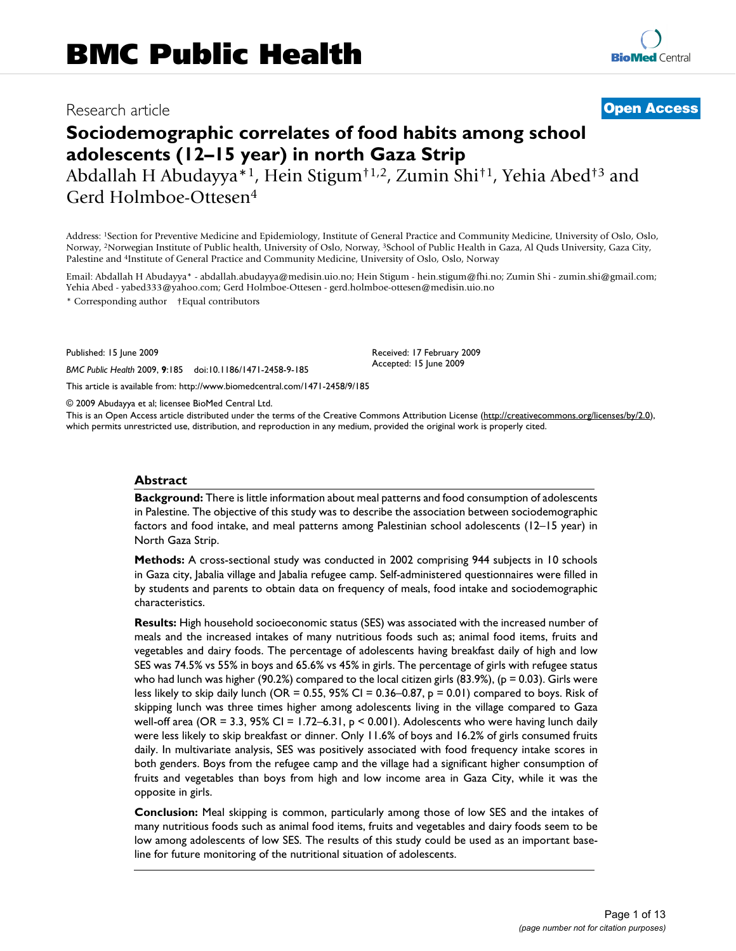## Research article **[Open Access](http://www.biomedcentral.com/info/about/charter/)**

# **Sociodemographic correlates of food habits among school adolescents (12–15 year) in north Gaza Strip**

Abdallah H Abudayya\*1, Hein Stigum†1,2, Zumin Shi†1, Yehia Abed†3 and Gerd Holmboe-Ottesen4

Address: 1Section for Preventive Medicine and Epidemiology, Institute of General Practice and Community Medicine, University of Oslo, Oslo, Norway, 2Norwegian Institute of Public health, University of Oslo, Norway, 3School of Public Health in Gaza, Al Quds University, Gaza City, Palestine and 4Institute of General Practice and Community Medicine, University of Oslo, Oslo, Norway

Email: Abdallah H Abudayya\* - abdallah.abudayya@medisin.uio.no; Hein Stigum - hein.stigum@fhi.no; Zumin Shi - zumin.shi@gmail.com; Yehia Abed - yabed333@yahoo.com; Gerd Holmboe-Ottesen - gerd.holmboe-ottesen@medisin.uio.no

> Received: 17 February 2009 Accepted: 15 June 2009

\* Corresponding author †Equal contributors

Published: 15 June 2009

*BMC Public Health* 2009, **9**:185 doi:10.1186/1471-2458-9-185

[This article is available from: http://www.biomedcentral.com/1471-2458/9/185](http://www.biomedcentral.com/1471-2458/9/185)

© 2009 Abudayya et al; licensee BioMed Central Ltd.

This is an Open Access article distributed under the terms of the Creative Commons Attribution License [\(http://creativecommons.org/licenses/by/2.0\)](http://creativecommons.org/licenses/by/2.0), which permits unrestricted use, distribution, and reproduction in any medium, provided the original work is properly cited.

#### **Abstract**

**Background:** There is little information about meal patterns and food consumption of adolescents in Palestine. The objective of this study was to describe the association between sociodemographic factors and food intake, and meal patterns among Palestinian school adolescents (12–15 year) in North Gaza Strip.

**Methods:** A cross-sectional study was conducted in 2002 comprising 944 subjects in 10 schools in Gaza city, Jabalia village and Jabalia refugee camp. Self-administered questionnaires were filled in by students and parents to obtain data on frequency of meals, food intake and sociodemographic characteristics.

**Results:** High household socioeconomic status (SES) was associated with the increased number of meals and the increased intakes of many nutritious foods such as; animal food items, fruits and vegetables and dairy foods. The percentage of adolescents having breakfast daily of high and low SES was 74.5% vs 55% in boys and 65.6% vs 45% in girls. The percentage of girls with refugee status who had lunch was higher (90.2%) compared to the local citizen girls (83.9%), ( $p = 0.03$ ). Girls were less likely to skip daily lunch (OR = 0.55, 95% CI = 0.36–0.87,  $p = 0.01$ ) compared to boys. Risk of skipping lunch was three times higher among adolescents living in the village compared to Gaza well-off area (OR =  $3.3$ ,  $95\%$  Cl =  $1.72-6.31$ ,  $p < 0.001$ ). Adolescents who were having lunch daily were less likely to skip breakfast or dinner. Only 11.6% of boys and 16.2% of girls consumed fruits daily. In multivariate analysis, SES was positively associated with food frequency intake scores in both genders. Boys from the refugee camp and the village had a significant higher consumption of fruits and vegetables than boys from high and low income area in Gaza City, while it was the opposite in girls.

**Conclusion:** Meal skipping is common, particularly among those of low SES and the intakes of many nutritious foods such as animal food items, fruits and vegetables and dairy foods seem to be low among adolescents of low SES. The results of this study could be used as an important baseline for future monitoring of the nutritional situation of adolescents.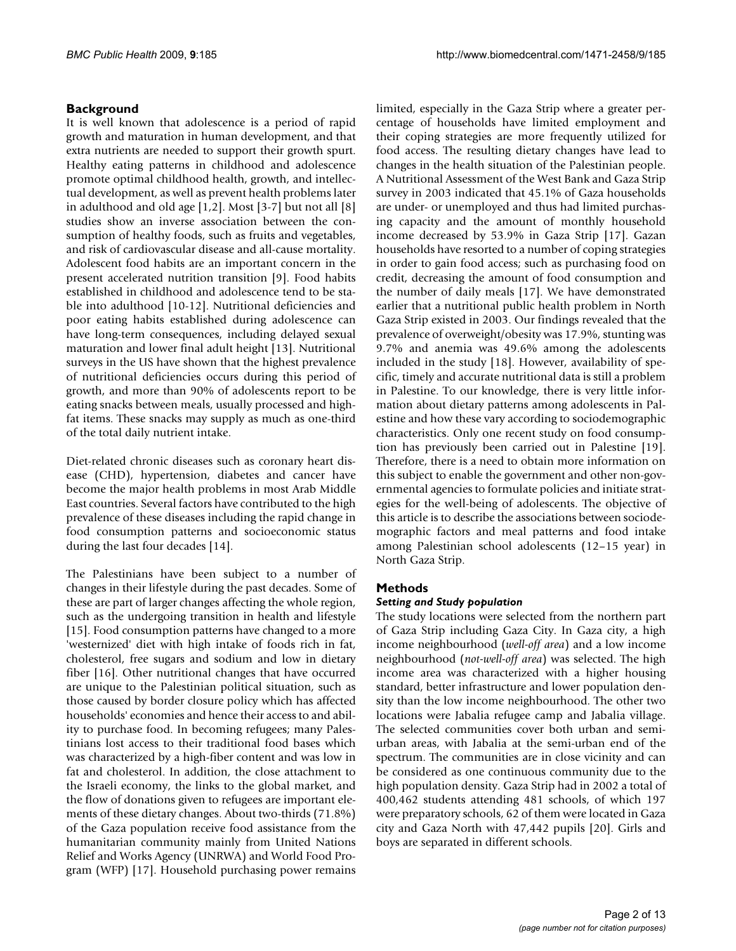### **Background**

It is well known that adolescence is a period of rapid growth and maturation in human development, and that extra nutrients are needed to support their growth spurt. Healthy eating patterns in childhood and adolescence promote optimal childhood health, growth, and intellectual development, as well as prevent health problems later in adulthood and old age [1,2]. Most [3-7] but not all [8] studies show an inverse association between the consumption of healthy foods, such as fruits and vegetables, and risk of cardiovascular disease and all-cause mortality. Adolescent food habits are an important concern in the present accelerated nutrition transition [9]. Food habits established in childhood and adolescence tend to be stable into adulthood [10-12]. Nutritional deficiencies and poor eating habits established during adolescence can have long-term consequences, including delayed sexual maturation and lower final adult height [13]. Nutritional surveys in the US have shown that the highest prevalence of nutritional deficiencies occurs during this period of growth, and more than 90% of adolescents report to be eating snacks between meals, usually processed and highfat items. These snacks may supply as much as one-third of the total daily nutrient intake.

Diet-related chronic diseases such as coronary heart disease (CHD), hypertension, diabetes and cancer have become the major health problems in most Arab Middle East countries. Several factors have contributed to the high prevalence of these diseases including the rapid change in food consumption patterns and socioeconomic status during the last four decades [14].

The Palestinians have been subject to a number of changes in their lifestyle during the past decades. Some of these are part of larger changes affecting the whole region, such as the undergoing transition in health and lifestyle [15]. Food consumption patterns have changed to a more 'westernized' diet with high intake of foods rich in fat, cholesterol, free sugars and sodium and low in dietary fiber [16]. Other nutritional changes that have occurred are unique to the Palestinian political situation, such as those caused by border closure policy which has affected households' economies and hence their access to and ability to purchase food. In becoming refugees; many Palestinians lost access to their traditional food bases which was characterized by a high-fiber content and was low in fat and cholesterol. In addition, the close attachment to the Israeli economy, the links to the global market, and the flow of donations given to refugees are important elements of these dietary changes. About two-thirds (71.8%) of the Gaza population receive food assistance from the humanitarian community mainly from United Nations Relief and Works Agency (UNRWA) and World Food Program (WFP) [17]. Household purchasing power remains

limited, especially in the Gaza Strip where a greater percentage of households have limited employment and their coping strategies are more frequently utilized for food access. The resulting dietary changes have lead to changes in the health situation of the Palestinian people. A Nutritional Assessment of the West Bank and Gaza Strip survey in 2003 indicated that 45.1% of Gaza households are under- or unemployed and thus had limited purchasing capacity and the amount of monthly household income decreased by 53.9% in Gaza Strip [17]. Gazan households have resorted to a number of coping strategies in order to gain food access; such as purchasing food on credit, decreasing the amount of food consumption and the number of daily meals [17]. We have demonstrated earlier that a nutritional public health problem in North Gaza Strip existed in 2003. Our findings revealed that the prevalence of overweight/obesity was 17.9%, stunting was 9.7% and anemia was 49.6% among the adolescents included in the study [18]. However, availability of specific, timely and accurate nutritional data is still a problem in Palestine. To our knowledge, there is very little information about dietary patterns among adolescents in Palestine and how these vary according to sociodemographic characteristics. Only one recent study on food consumption has previously been carried out in Palestine [19]. Therefore, there is a need to obtain more information on this subject to enable the government and other non-governmental agencies to formulate policies and initiate strategies for the well-being of adolescents. The objective of this article is to describe the associations between sociodemographic factors and meal patterns and food intake among Palestinian school adolescents (12–15 year) in North Gaza Strip.

### **Methods**

### *Setting and Study population*

The study locations were selected from the northern part of Gaza Strip including Gaza City. In Gaza city, a high income neighbourhood (*well-off area*) and a low income neighbourhood (*not-well-off area*) was selected. The high income area was characterized with a higher housing standard, better infrastructure and lower population density than the low income neighbourhood. The other two locations were Jabalia refugee camp and Jabalia village. The selected communities cover both urban and semiurban areas, with Jabalia at the semi-urban end of the spectrum. The communities are in close vicinity and can be considered as one continuous community due to the high population density. Gaza Strip had in 2002 a total of 400,462 students attending 481 schools, of which 197 were preparatory schools, 62 of them were located in Gaza city and Gaza North with 47,442 pupils [20]. Girls and boys are separated in different schools.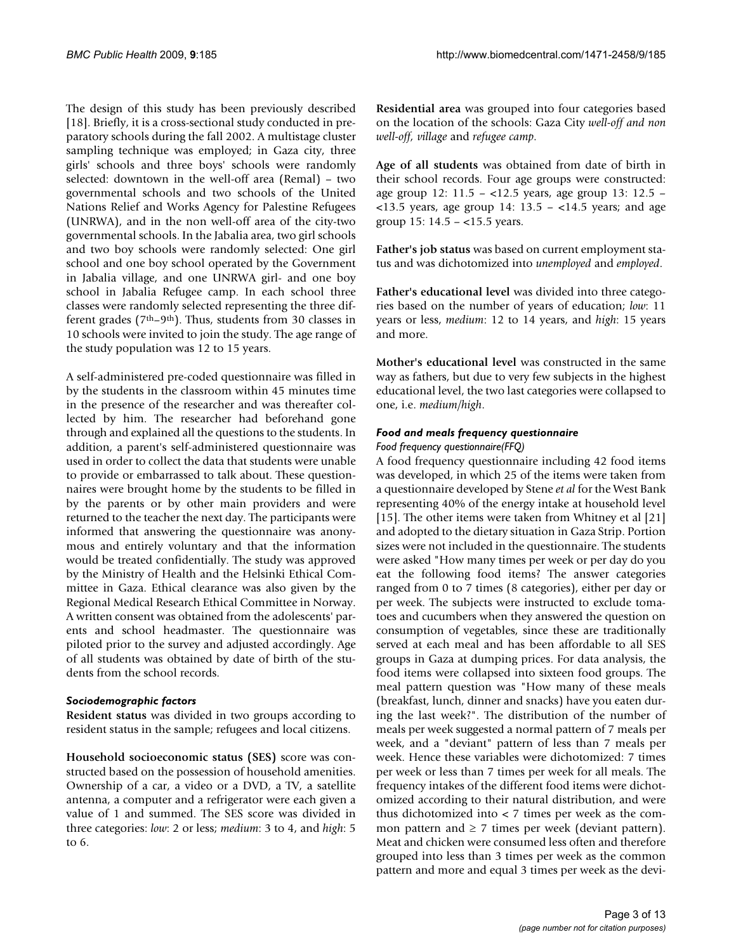The design of this study has been previously described [18]. Briefly, it is a cross-sectional study conducted in preparatory schools during the fall 2002. A multistage cluster sampling technique was employed; in Gaza city, three girls' schools and three boys' schools were randomly selected: downtown in the well-off area (Remal) – two governmental schools and two schools of the United Nations Relief and Works Agency for Palestine Refugees (UNRWA), and in the non well-off area of the city-two governmental schools. In the Jabalia area, two girl schools and two boy schools were randomly selected: One girl school and one boy school operated by the Government in Jabalia village, and one UNRWA girl- and one boy school in Jabalia Refugee camp. In each school three classes were randomly selected representing the three different grades (7<sup>th</sup>-9<sup>th</sup>). Thus, students from 30 classes in 10 schools were invited to join the study. The age range of the study population was 12 to 15 years.

A self-administered pre-coded questionnaire was filled in by the students in the classroom within 45 minutes time in the presence of the researcher and was thereafter collected by him. The researcher had beforehand gone through and explained all the questions to the students. In addition, a parent's self-administered questionnaire was used in order to collect the data that students were unable to provide or embarrassed to talk about. These questionnaires were brought home by the students to be filled in by the parents or by other main providers and were returned to the teacher the next day. The participants were informed that answering the questionnaire was anonymous and entirely voluntary and that the information would be treated confidentially. The study was approved by the Ministry of Health and the Helsinki Ethical Committee in Gaza. Ethical clearance was also given by the Regional Medical Research Ethical Committee in Norway. A written consent was obtained from the adolescents' parents and school headmaster. The questionnaire was piloted prior to the survey and adjusted accordingly. Age of all students was obtained by date of birth of the students from the school records.

### *Sociodemographic factors*

**Resident status** was divided in two groups according to resident status in the sample; refugees and local citizens.

**Household socioeconomic status (SES)** score was constructed based on the possession of household amenities. Ownership of a car, a video or a DVD, a TV, a satellite antenna, a computer and a refrigerator were each given a value of 1 and summed. The SES score was divided in three categories: *low*: 2 or less; *medium*: 3 to 4, and *high*: 5 to 6.

**Residential area** was grouped into four categories based on the location of the schools: Gaza City *well-off and non well-off, village* and *refugee camp*.

**Age of all students** was obtained from date of birth in their school records. Four age groups were constructed: age group 12: 11.5 – <12.5 years, age group 13: 12.5 – <13.5 years, age group 14: 13.5 – <14.5 years; and age group 15: 14.5 – <15.5 years.

**Father's job status** was based on current employment status and was dichotomized into *unemployed* and *employed*.

**Father's educational level** was divided into three categories based on the number of years of education; *low*: 11 years or less, *medium*: 12 to 14 years, and *high*: 15 years and more.

**Mother's educational level** was constructed in the same way as fathers, but due to very few subjects in the highest educational level, the two last categories were collapsed to one, i.e. *medium/high*.

### *Food and meals frequency questionnaire*

### *Food frequency questionnaire(FFQ)*

A food frequency questionnaire including 42 food items was developed, in which 25 of the items were taken from a questionnaire developed by Stene *et al* for the West Bank representing 40% of the energy intake at household level [15]. The other items were taken from Whitney et al [21] and adopted to the dietary situation in Gaza Strip. Portion sizes were not included in the questionnaire. The students were asked "How many times per week or per day do you eat the following food items? The answer categories ranged from 0 to 7 times (8 categories), either per day or per week. The subjects were instructed to exclude tomatoes and cucumbers when they answered the question on consumption of vegetables, since these are traditionally served at each meal and has been affordable to all SES groups in Gaza at dumping prices. For data analysis, the food items were collapsed into sixteen food groups. The meal pattern question was "How many of these meals (breakfast, lunch, dinner and snacks) have you eaten during the last week?". The distribution of the number of meals per week suggested a normal pattern of 7 meals per week, and a "deviant" pattern of less than 7 meals per week. Hence these variables were dichotomized: 7 times per week or less than 7 times per week for all meals. The frequency intakes of the different food items were dichotomized according to their natural distribution, and were thus dichotomized into  $<$  7 times per week as the common pattern and  $\geq 7$  times per week (deviant pattern). Meat and chicken were consumed less often and therefore grouped into less than 3 times per week as the common pattern and more and equal 3 times per week as the devi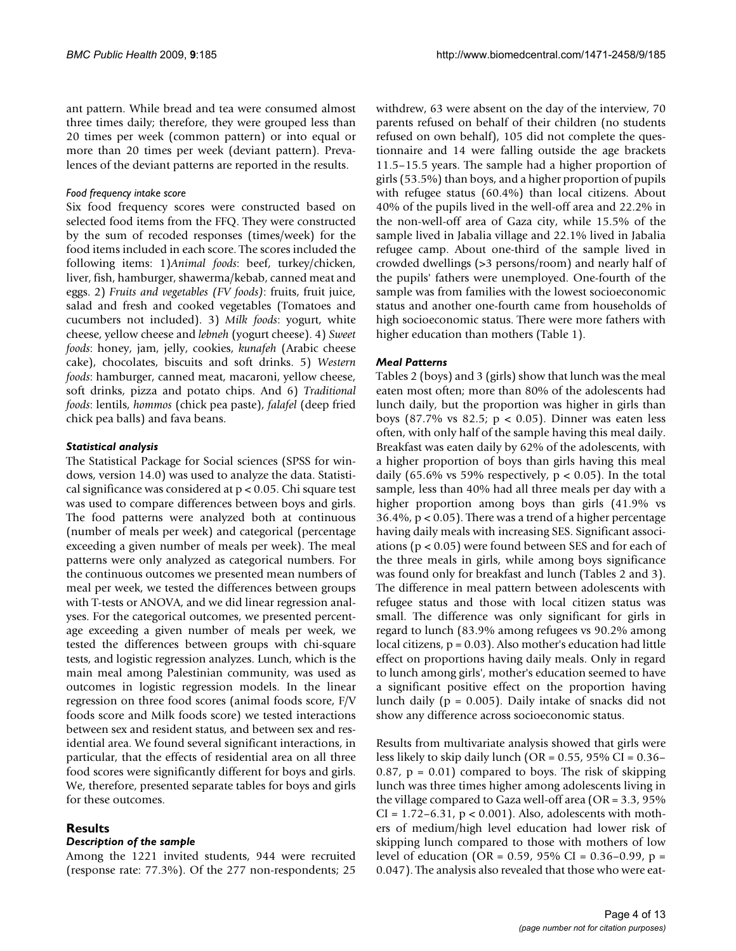ant pattern. While bread and tea were consumed almost three times daily; therefore, they were grouped less than 20 times per week (common pattern) or into equal or more than 20 times per week (deviant pattern). Prevalences of the deviant patterns are reported in the results.

### *Food frequency intake score*

Six food frequency scores were constructed based on selected food items from the FFQ. They were constructed by the sum of recoded responses (times/week) for the food items included in each score. The scores included the following items: 1)*Animal foods*: beef, turkey/chicken, liver, fish, hamburger, shawerma/kebab, canned meat and eggs. 2) *Fruits and vegetables (FV foods)*: fruits, fruit juice, salad and fresh and cooked vegetables (Tomatoes and cucumbers not included). 3) *Milk foods*: yogurt, white cheese, yellow cheese and *lebneh* (yogurt cheese). 4) *Sweet foods*: honey, jam, jelly, cookies, *kunafeh* (Arabic cheese cake), chocolates, biscuits and soft drinks. 5) *Western foods*: hamburger, canned meat, macaroni, yellow cheese, soft drinks, pizza and potato chips. And 6) *Traditional foods*: lentils, *hommos* (chick pea paste), *falafel* (deep fried chick pea balls) and fava beans.

### *Statistical analysis*

The Statistical Package for Social sciences (SPSS for windows, version 14.0) was used to analyze the data. Statistical significance was considered at p < 0.05. Chi square test was used to compare differences between boys and girls. The food patterns were analyzed both at continuous (number of meals per week) and categorical (percentage exceeding a given number of meals per week). The meal patterns were only analyzed as categorical numbers. For the continuous outcomes we presented mean numbers of meal per week, we tested the differences between groups with T-tests or ANOVA, and we did linear regression analyses. For the categorical outcomes, we presented percentage exceeding a given number of meals per week, we tested the differences between groups with chi-square tests, and logistic regression analyzes. Lunch, which is the main meal among Palestinian community, was used as outcomes in logistic regression models. In the linear regression on three food scores (animal foods score, F/V foods score and Milk foods score) we tested interactions between sex and resident status, and between sex and residential area. We found several significant interactions, in particular, that the effects of residential area on all three food scores were significantly different for boys and girls. We, therefore, presented separate tables for boys and girls for these outcomes.

### **Results**

### *Description of the sample*

Among the 1221 invited students, 944 were recruited (response rate: 77.3%). Of the 277 non-respondents; 25

withdrew, 63 were absent on the day of the interview, 70 parents refused on behalf of their children (no students refused on own behalf), 105 did not complete the questionnaire and 14 were falling outside the age brackets 11.5–15.5 years. The sample had a higher proportion of girls (53.5%) than boys, and a higher proportion of pupils with refugee status (60.4%) than local citizens. About 40% of the pupils lived in the well-off area and 22.2% in the non-well-off area of Gaza city, while 15.5% of the sample lived in Jabalia village and 22.1% lived in Jabalia refugee camp. About one-third of the sample lived in crowded dwellings (>3 persons/room) and nearly half of the pupils' fathers were unemployed. One-fourth of the sample was from families with the lowest socioeconomic status and another one-fourth came from households of high socioeconomic status. There were more fathers with higher education than mothers (Table 1).

### *Meal Patterns*

Tables 2 (boys) and 3 (girls) show that lunch was the meal eaten most often; more than 80% of the adolescents had lunch daily, but the proportion was higher in girls than boys (87.7% vs 82.5; p < 0.05). Dinner was eaten less often, with only half of the sample having this meal daily. Breakfast was eaten daily by 62% of the adolescents, with a higher proportion of boys than girls having this meal daily (65.6% vs 59% respectively,  $p < 0.05$ ). In the total sample, less than 40% had all three meals per day with a higher proportion among boys than girls (41.9% vs 36.4%, p < 0.05). There was a trend of a higher percentage having daily meals with increasing SES. Significant associations (p < 0.05) were found between SES and for each of the three meals in girls, while among boys significance was found only for breakfast and lunch (Tables 2 and 3). The difference in meal pattern between adolescents with refugee status and those with local citizen status was small. The difference was only significant for girls in regard to lunch (83.9% among refugees vs 90.2% among local citizens,  $p = 0.03$ ). Also mother's education had little effect on proportions having daily meals. Only in regard to lunch among girls', mother's education seemed to have a significant positive effect on the proportion having lunch daily ( $p = 0.005$ ). Daily intake of snacks did not show any difference across socioeconomic status.

Results from multivariate analysis showed that girls were less likely to skip daily lunch (OR =  $0.55$ , 95% CI =  $0.36 0.87$ ,  $p = 0.01$ ) compared to boys. The risk of skipping lunch was three times higher among adolescents living in the village compared to Gaza well-off area ( $OR = 3.3$ ,  $95\%$  $CI = 1.72-6.31$ ,  $p < 0.001$ ). Also, adolescents with mothers of medium/high level education had lower risk of skipping lunch compared to those with mothers of low level of education (OR = 0.59, 95% CI = 0.36-0.99, p = 0.047). The analysis also revealed that those who were eat-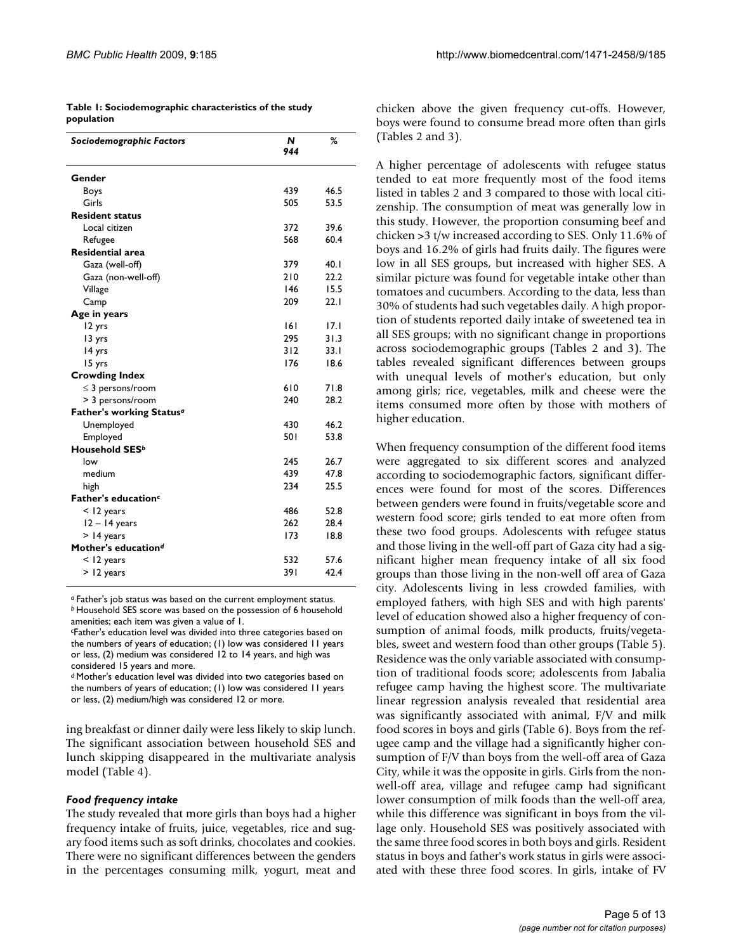| Table 1: Sociodemographic characteristics of the study |  |
|--------------------------------------------------------|--|
| population                                             |  |

| Sociodemographic Factors             | N<br>944 | %    |
|--------------------------------------|----------|------|
| Gender                               |          |      |
| Boys                                 | 439      | 46.5 |
| Girls                                | 505      | 53.5 |
| <b>Resident status</b>               |          |      |
| Local citizen                        | 372      | 39.6 |
| Refugee                              | 568      | 60.4 |
| <b>Residential area</b>              |          |      |
| Gaza (well-off)                      | 379      | 40.1 |
| Gaza (non-well-off)                  | 210      | 22.2 |
| Village                              | 146      | 15.5 |
| Camp                                 | 209      | 22.1 |
| Age in years                         |          |      |
| 12 yrs                               | 6        | 17.1 |
| 13 yrs                               | 295      | 31.3 |
| 14 yrs                               | 312      | 33.1 |
| 15 yrs                               | 176      | 18.6 |
| <b>Crowding Index</b>                |          |      |
| $\leq$ 3 persons/room                | 610      | 71.8 |
| > 3 persons/room                     | 240      | 28.2 |
| Father's working Status <sup>a</sup> |          |      |
| Unemployed                           | 430      | 46.2 |
| Employed                             | 501      | 53.8 |
| Household SES <sup>b</sup>           |          |      |
| low                                  | 245      | 26.7 |
| medium                               | 439      | 47.8 |
| high                                 | 234      | 25.5 |
| Father's education <sup>c</sup>      |          |      |
| $<$ 12 years                         | 486      | 52.8 |
| $12 - 14$ years                      | 262      | 28.4 |
| $>$ 14 years                         | 173      | 18.8 |
| Mother's education <sup>d</sup>      |          |      |
| < 12 years                           | 532      | 57.6 |
| $> 12$ years                         | 391      | 42.4 |

*<sup>a</sup>*Father's job status was based on the current employment status. *b* Household SES score was based on the possession of 6 household amenities; each item was given a value of 1.

*<sup>c</sup>*Father's education level was divided into three categories based on the numbers of years of education; (1) low was considered 11 years or less, (2) medium was considered 12 to 14 years, and high was considered 15 years and more.

<sup>d</sup> Mother's education level was divided into two categories based on the numbers of years of education; (1) low was considered 11 years or less, (2) medium/high was considered 12 or more.

ing breakfast or dinner daily were less likely to skip lunch. The significant association between household SES and lunch skipping disappeared in the multivariate analysis model (Table 4).

#### *Food frequency intake*

The study revealed that more girls than boys had a higher frequency intake of fruits, juice, vegetables, rice and sugary food items such as soft drinks, chocolates and cookies. There were no significant differences between the genders in the percentages consuming milk, yogurt, meat and

chicken above the given frequency cut-offs. However, boys were found to consume bread more often than girls (Tables 2 and 3).

A higher percentage of adolescents with refugee status tended to eat more frequently most of the food items listed in tables 2 and 3 compared to those with local citizenship. The consumption of meat was generally low in this study. However, the proportion consuming beef and chicken >3 t/w increased according to SES. Only 11.6% of boys and 16.2% of girls had fruits daily. The figures were low in all SES groups, but increased with higher SES. A similar picture was found for vegetable intake other than tomatoes and cucumbers. According to the data, less than 30% of students had such vegetables daily. A high proportion of students reported daily intake of sweetened tea in all SES groups; with no significant change in proportions across sociodemographic groups (Tables 2 and 3). The tables revealed significant differences between groups with unequal levels of mother's education, but only among girls; rice, vegetables, milk and cheese were the items consumed more often by those with mothers of higher education.

When frequency consumption of the different food items were aggregated to six different scores and analyzed according to sociodemographic factors, significant differences were found for most of the scores. Differences between genders were found in fruits/vegetable score and western food score; girls tended to eat more often from these two food groups. Adolescents with refugee status and those living in the well-off part of Gaza city had a significant higher mean frequency intake of all six food groups than those living in the non-well off area of Gaza city. Adolescents living in less crowded families, with employed fathers, with high SES and with high parents' level of education showed also a higher frequency of consumption of animal foods, milk products, fruits/vegetables, sweet and western food than other groups (Table 5). Residence was the only variable associated with consumption of traditional foods score; adolescents from Jabalia refugee camp having the highest score. The multivariate linear regression analysis revealed that residential area was significantly associated with animal, F/V and milk food scores in boys and girls (Table 6). Boys from the refugee camp and the village had a significantly higher consumption of F/V than boys from the well-off area of Gaza City, while it was the opposite in girls. Girls from the nonwell-off area, village and refugee camp had significant lower consumption of milk foods than the well-off area, while this difference was significant in boys from the village only. Household SES was positively associated with the same three food scores in both boys and girls. Resident status in boys and father's work status in girls were associated with these three food scores. In girls, intake of FV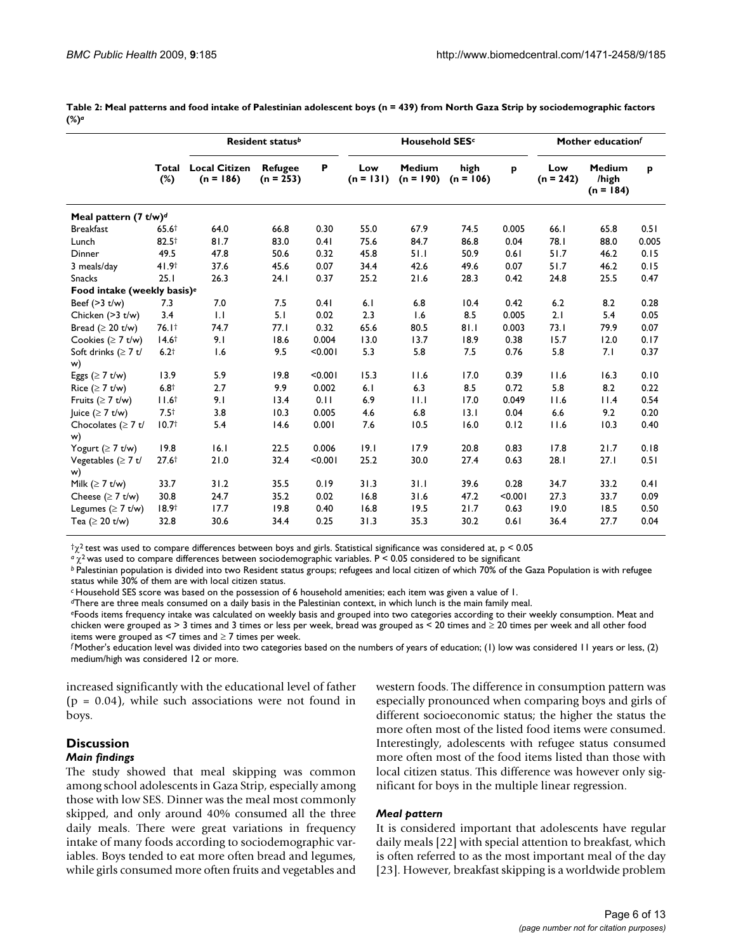**Table 2: Meal patterns and food intake of Palestinian adolescent boys (n = 439) from North Gaza Strip by sociodemographic factors (%)***<sup>a</sup>*

|                                         |                     |                                     | Resident status <sup>b</sup>  |         |                    | Household SES <sup>c</sup>   |                     |         |                    | Mother educationf                     |       |
|-----------------------------------------|---------------------|-------------------------------------|-------------------------------|---------|--------------------|------------------------------|---------------------|---------|--------------------|---------------------------------------|-------|
|                                         | Total<br>$(\%)$     | <b>Local Citizen</b><br>$(n = 186)$ | <b>Refugee</b><br>$(n = 253)$ | P       | Low<br>$(n = 131)$ | <b>Medium</b><br>$(n = 190)$ | high<br>$(n = 106)$ | p       | Low<br>$(n = 242)$ | <b>Medium</b><br>/high<br>$(n = 184)$ | p     |
| Meal pattern $(7 \text{ t/w})^d$        |                     |                                     |                               |         |                    |                              |                     |         |                    |                                       |       |
| <b>Breakfast</b>                        | $65.6$ <sup>†</sup> | 64.0                                | 66.8                          | 0.30    | 55.0               | 67.9                         | 74.5                | 0.005   | 66.I               | 65.8                                  | 0.51  |
| Lunch                                   | $82.5^{+}$          | 81.7                                | 83.0                          | 0.41    | 75.6               | 84.7                         | 86.8                | 0.04    | 78.1               | 88.0                                  | 0.005 |
| Dinner                                  | 49.5                | 47.8                                | 50.6                          | 0.32    | 45.8               | 51.1                         | 50.9                | 0.61    | 51.7               | 46.2                                  | 0.15  |
| 3 meals/day                             | 41.9 <sup>†</sup>   | 37.6                                | 45.6                          | 0.07    | 34.4               | 42.6                         | 49.6                | 0.07    | 51.7               | 46.2                                  | 0.15  |
| <b>Snacks</b>                           | 25.1                | 26.3                                | 24.1                          | 0.37    | 25.2               | 21.6                         | 28.3                | 0.42    | 24.8               | 25.5                                  | 0.47  |
| Food intake (weekly basis) <sup>e</sup> |                     |                                     |                               |         |                    |                              |                     |         |                    |                                       |       |
| Beef $($ >3 t/w $)$                     | 7.3                 | 7.0                                 | 7.5                           | 0.41    | 6.1                | 6.8                          | 10.4                | 0.42    | 6.2                | 8.2                                   | 0.28  |
| Chicken $($ >3 t/w)                     | 3.4                 | 1.1                                 | 5.1                           | 0.02    | 2.3                | 1.6                          | 8.5                 | 0.005   | 2.1                | 5.4                                   | 0.05  |
| Bread ( $\geq$ 20 t/w)                  | 76.1 <sup>†</sup>   | 74.7                                | 77.1                          | 0.32    | 65.6               | 80.5                         | 81.1                | 0.003   | 73.1               | 79.9                                  | 0.07  |
| Cookies ( $\geq 7$ t/w)                 | 14.6 <sup>†</sup>   | 9.1                                 | 18.6                          | 0.004   | 13.0               | 13.7                         | 18.9                | 0.38    | 15.7               | 12.0                                  | 0.17  |
| Soft drinks ( $\geq 7$ t/<br>w)         | $6.2^{+}$           | 1.6                                 | 9.5                           | < 0.001 | 5.3                | 5.8                          | 7.5                 | 0.76    | 5.8                | 7.1                                   | 0.37  |
| Eggs ( $\geq 7$ t/w)                    | 13.9                | 5.9                                 | 19.8                          | < 0.001 | 15.3               | 11.6                         | 17.0                | 0.39    | 11.6               | 16.3                                  | 0.10  |
| Rice ( $\geq 7$ t/w)                    | $6.8^{+}$           | 2.7                                 | 9.9                           | 0.002   | 6.1                | 6.3                          | 8.5                 | 0.72    | 5.8                | 8.2                                   | 0.22  |
| Fruits ( $\geq 7$ t/w)                  | 11.6 <sup>†</sup>   | 9.1                                 | 13.4                          | 0.11    | 6.9                | 11.1                         | 17.0                | 0.049   | 11.6               | 11.4                                  | 0.54  |
| Juice $(\geq 7 \text{ t/w})$            | $7.5^+$             | 3.8                                 | 10.3                          | 0.005   | 4.6                | 6.8                          | 13.1                | 0.04    | 6.6                | 9.2                                   | 0.20  |
| Chocolates ( $\geq 7$ t/<br>w)          | 10.7 <sup>†</sup>   | 5.4                                 | 14.6                          | 0.001   | 7.6                | 10.5                         | 16.0                | 0.12    | 11.6               | 10.3                                  | 0.40  |
| Yogurt ( $\geq 7$ t/w)                  | 19.8                | 16.1                                | 22.5                          | 0.006   | 9.1                | 17.9                         | 20.8                | 0.83    | 17.8               | 21.7                                  | 0.18  |
| Vegetables ( $\geq 7$ t/<br>w)          | 27.6 <sup>†</sup>   | 21.0                                | 32.4                          | < 0.001 | 25.2               | 30.0                         | 27.4                | 0.63    | 28.1               | 27.1                                  | 0.51  |
| Milk ( $\geq 7$ t/w)                    | 33.7                | 31.2                                | 35.5                          | 0.19    | 31.3               | 31.1                         | 39.6                | 0.28    | 34.7               | 33.2                                  | 0.41  |
| Cheese ( $\geq 7$ t/w)                  | 30.8                | 24.7                                | 35.2                          | 0.02    | 16.8               | 31.6                         | 47.2                | < 0.001 | 27.3               | 33.7                                  | 0.09  |
| Legumes ( $\geq$ 7 t/w)                 | 18.91               | 17.7                                | 19.8                          | 0.40    | 16.8               | 19.5                         | 21.7                | 0.63    | 19.0               | 18.5                                  | 0.50  |
| Tea ( $\geq$ 20 t/w)                    | 32.8                | 30.6                                | 34.4                          | 0.25    | 31.3               | 35.3                         | 30.2                | 0.61    | 36.4               | 27.7                                  | 0.04  |

 $\frac{1}{2}$  test was used to compare differences between boys and girls. Statistical significance was considered at, p < 0.05

*<sup>a</sup>*χ2 was used to compare differences between sociodemographic variables. P < 0.05 considered to be significant

*b* Palestinian population is divided into two Resident status groups; refugees and local citizen of which 70% of the Gaza Population is with refugee status while 30% of them are with local citizen status.

*<sup>c</sup>*Household SES score was based on the possession of 6 household amenities; each item was given a value of 1.

*<sup>d</sup>*There are three meals consumed on a daily basis in the Palestinian context, in which lunch is the main family meal.

*<sup>e</sup>*Foods items frequency intake was calculated on weekly basis and grouped into two categories according to their weekly consumption. Meat and chicken were grouped as > 3 times and 3 times or less per week, bread was grouped as < 20 times and  $\geq$  20 times per week and all other food items were grouped as <7 times and  $\geq$  7 times per week.

*<sup>f</sup>*Mother's education level was divided into two categories based on the numbers of years of education; (1) low was considered 11 years or less, (2) medium/high was considered 12 or more.

increased significantly with the educational level of father  $(p = 0.04)$ , while such associations were not found in boys.

### **Discussion**

#### *Main findings*

The study showed that meal skipping was common among school adolescents in Gaza Strip, especially among those with low SES. Dinner was the meal most commonly skipped, and only around 40% consumed all the three daily meals. There were great variations in frequency intake of many foods according to sociodemographic variables. Boys tended to eat more often bread and legumes, while girls consumed more often fruits and vegetables and

western foods. The difference in consumption pattern was especially pronounced when comparing boys and girls of different socioeconomic status; the higher the status the more often most of the listed food items were consumed. Interestingly, adolescents with refugee status consumed more often most of the food items listed than those with local citizen status. This difference was however only significant for boys in the multiple linear regression.

### *Meal pattern*

It is considered important that adolescents have regular daily meals [22] with special attention to breakfast, which is often referred to as the most important meal of the day [23]. However, breakfast skipping is a worldwide problem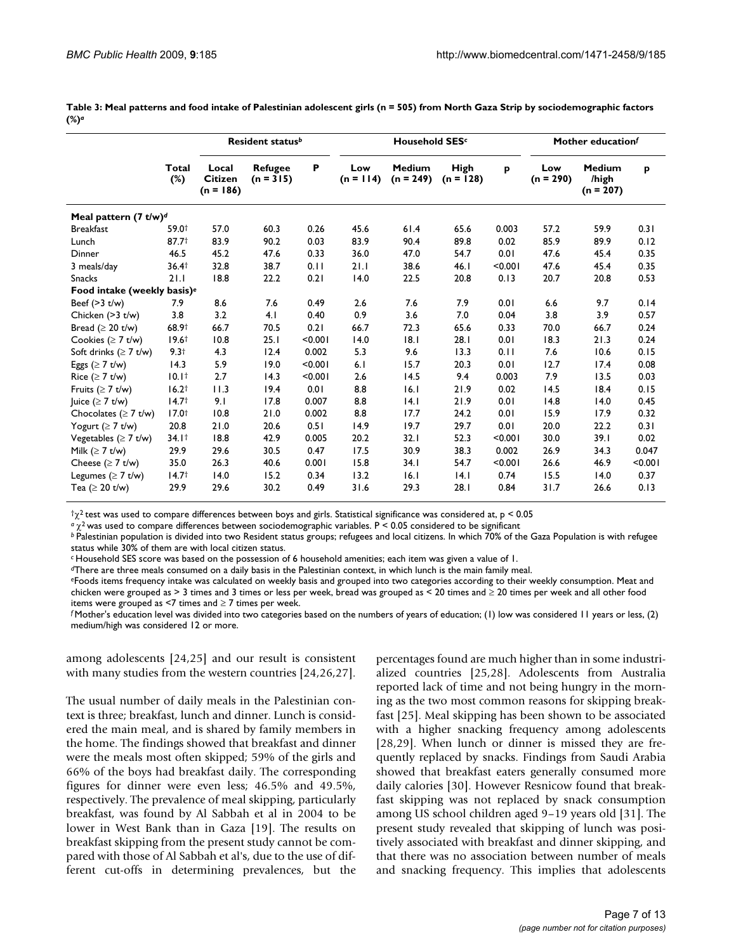|                                         |                        | Resident status <sup>b</sup>           |                               |         |                    | Household SES <sup>c</sup>   |                     | Mother educationf |                    |                                       |         |
|-----------------------------------------|------------------------|----------------------------------------|-------------------------------|---------|--------------------|------------------------------|---------------------|-------------------|--------------------|---------------------------------------|---------|
|                                         | <b>Total</b><br>$(\%)$ | Local<br><b>Citizen</b><br>$(n = 186)$ | <b>Refugee</b><br>$(n = 315)$ | P       | Low<br>$(n = 114)$ | <b>Medium</b><br>$(n = 249)$ | High<br>$(n = 128)$ | p                 | Low<br>$(n = 290)$ | <b>Medium</b><br>/high<br>$(n = 207)$ | P       |
| Meal pattern (7 t/w) <sup>d</sup>       |                        |                                        |                               |         |                    |                              |                     |                   |                    |                                       |         |
| <b>Breakfast</b>                        | 59.0 <sup>+</sup>      | 57.0                                   | 60.3                          | 0.26    | 45.6               | 61.4                         | 65.6                | 0.003             | 57.2               | 59.9                                  | 0.31    |
| Lunch                                   | 87.7 <sup>†</sup>      | 83.9                                   | 90.2                          | 0.03    | 83.9               | 90.4                         | 89.8                | 0.02              | 85.9               | 89.9                                  | 0.12    |
| Dinner                                  | 46.5                   | 45.2                                   | 47.6                          | 0.33    | 36.0               | 47.0                         | 54.7                | 0.01              | 47.6               | 45.4                                  | 0.35    |
| 3 meals/day                             | 36.4†                  | 32.8                                   | 38.7                          | 0.11    | 21.1               | 38.6                         | 46.I                | < 0.001           | 47.6               | 45.4                                  | 0.35    |
| <b>Snacks</b>                           | 21.1                   | 18.8                                   | 22.2                          | 0.21    | 14.0               | 22.5                         | 20.8                | 0.13              | 20.7               | 20.8                                  | 0.53    |
| Food intake (weekly basis) <sup>e</sup> |                        |                                        |                               |         |                    |                              |                     |                   |                    |                                       |         |
| Beef $(>3$ t/w)                         | 7.9                    | 8.6                                    | 7.6                           | 0.49    | 2.6                | 7.6                          | 7.9                 | 0.01              | 6.6                | 9.7                                   | 0.14    |
| Chicken $($ >3 t/w)                     | 3.8                    | 3.2                                    | 4.1                           | 0.40    | 0.9                | 3.6                          | 7.0                 | 0.04              | 3.8                | 3.9                                   | 0.57    |
| Bread ( $\geq$ 20 t/w)                  | 68.9 <sup>+</sup>      | 66.7                                   | 70.5                          | 0.21    | 66.7               | 72.3                         | 65.6                | 0.33              | 70.0               | 66.7                                  | 0.24    |
| Cookies ( $\geq 7$ t/w)                 | 19.6 <sup>†</sup>      | 10.8                                   | 25.1                          | < 0.001 | 14.0               | 8.1                          | 28.1                | 0.01              | 18.3               | 21.3                                  | 0.24    |
| Soft drinks ( $\geq 7$ t/w)             | 9.3 <sup>†</sup>       | 4.3                                    | 12.4                          | 0.002   | 5.3                | 9.6                          | 13.3                | 0.11              | 7.6                | 10.6                                  | 0.15    |
| Eggs ( $\geq 7$ t/w)                    | 14.3                   | 5.9                                    | 19.0                          | < 0.001 | 6.1                | 15.7                         | 20.3                | 0.01              | 12.7               | 17.4                                  | 0.08    |
| Rice $(\geq 7 \text{ t/w})$             | 10.11                  | 2.7                                    | 14.3                          | < 0.001 | 2.6                | 14.5                         | 9.4                 | 0.003             | 7.9                | 13.5                                  | 0.03    |
| Fruits ( $\geq 7$ t/w)                  | 16.2 <sup>†</sup>      | 11.3                                   | 19.4                          | 0.01    | 8.8                | 16.1                         | 21.9                | 0.02              | 14.5               | 18.4                                  | 0.15    |
| Juice ( $\geq 7$ t/w)                   | 14.7 <sup>†</sup>      | 9.1                                    | 17.8                          | 0.007   | 8.8                | 4.1                          | 21.9                | 0.01              | 14.8               | 14.0                                  | 0.45    |
| Chocolates ( $\geq 7$ t/w)              | 17.0 <sup>†</sup>      | 10.8                                   | 21.0                          | 0.002   | 8.8                | 17.7                         | 24.2                | 0.01              | 15.9               | 17.9                                  | 0.32    |
| Yogurt ( $\geq 7$ t/w)                  | 20.8                   | 21.0                                   | 20.6                          | 0.51    | 14.9               | 19.7                         | 29.7                | 0.01              | 20.0               | 22.2                                  | 0.31    |
| Vegetables ( $\geq$ 7 t/w)              | 34.1 <sup>†</sup>      | 18.8                                   | 42.9                          | 0.005   | 20.2               | 32.1                         | 52.3                | < 0.001           | 30.0               | 39.1                                  | 0.02    |
| Milk ( $\geq 7$ t/w)                    | 29.9                   | 29.6                                   | 30.5                          | 0.47    | 17.5               | 30.9                         | 38.3                | 0.002             | 26.9               | 34.3                                  | 0.047   |
| Cheese ( $\geq 7$ t/w)                  | 35.0                   | 26.3                                   | 40.6                          | 0.001   | 15.8               | 34.1                         | 54.7                | < 0.001           | 26.6               | 46.9                                  | < 0.001 |
| Legumes ( $\geq$ 7 t/w)                 | 14.7 <sup>†</sup>      | 14.0                                   | 15.2                          | 0.34    | 13.2               | 16.1                         | 4.1                 | 0.74              | 15.5               | 14.0                                  | 0.37    |
| Tea $(\geq 20 \text{ t/w})$             | 29.9                   | 29.6                                   | 30.2                          | 0.49    | 31.6               | 29.3                         | 28.1                | 0.84              | 31.7               | 26.6                                  | 0.13    |

**Table 3: Meal patterns and food intake of Palestinian adolescent girls (n = 505) from North Gaza Strip by sociodemographic factors (%)***<sup>a</sup>*

 $\frac{1}{2}$  test was used to compare differences between boys and girls. Statistical significance was considered at,  $p < 0.05$ 

*<sup>a</sup>*χ2 was used to compare differences between sociodemographic variables. P < 0.05 considered to be significant

*b* Palestinian population is divided into two Resident status groups; refugees and local citizens. In which 70% of the Gaza Population is with refugee status while 30% of them are with local citizen status.

*<sup>c</sup>*Household SES score was based on the possession of 6 household amenities; each item was given a value of 1.

*<sup>d</sup>*There are three meals consumed on a daily basis in the Palestinian context, in which lunch is the main family meal.

*<sup>e</sup>*Foods items frequency intake was calculated on weekly basis and grouped into two categories according to their weekly consumption. Meat and chicken were grouped as > 3 times and 3 times or less per week, bread was grouped as < 20 times and  $\geq$  20 times per week and all other food items were grouped as <7 times and  $\geq$  7 times per week.

*<sup>f</sup>*Mother's education level was divided into two categories based on the numbers of years of education; (1) low was considered 11 years or less, (2) medium/high was considered 12 or more.

among adolescents [24,25] and our result is consistent with many studies from the western countries [24,26,27].

The usual number of daily meals in the Palestinian context is three; breakfast, lunch and dinner. Lunch is considered the main meal, and is shared by family members in the home. The findings showed that breakfast and dinner were the meals most often skipped; 59% of the girls and 66% of the boys had breakfast daily. The corresponding figures for dinner were even less; 46.5% and 49.5%, respectively. The prevalence of meal skipping, particularly breakfast, was found by Al Sabbah et al in 2004 to be lower in West Bank than in Gaza [19]. The results on breakfast skipping from the present study cannot be compared with those of Al Sabbah et al's, due to the use of different cut-offs in determining prevalences, but the percentages found are much higher than in some industrialized countries [25,28]. Adolescents from Australia reported lack of time and not being hungry in the morning as the two most common reasons for skipping breakfast [25]. Meal skipping has been shown to be associated with a higher snacking frequency among adolescents [28,29]. When lunch or dinner is missed they are frequently replaced by snacks. Findings from Saudi Arabia showed that breakfast eaters generally consumed more daily calories [30]. However Resnicow found that breakfast skipping was not replaced by snack consumption among US school children aged 9–19 years old [31]. The present study revealed that skipping of lunch was positively associated with breakfast and dinner skipping, and that there was no association between number of meals and snacking frequency. This implies that adolescents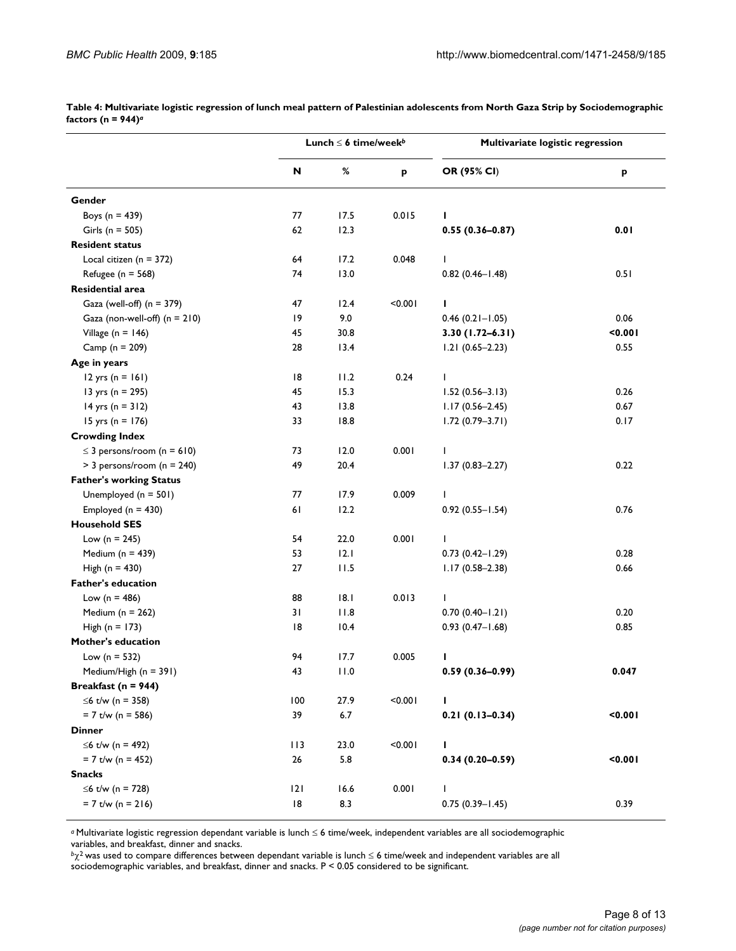| $\%$<br>N<br>OR (95% CI)<br>$\boldsymbol{\mathsf{p}}$<br>p                  |  |
|-----------------------------------------------------------------------------|--|
|                                                                             |  |
| Gender                                                                      |  |
| 0.015<br>Boys ( $n = 439$ )<br>77<br>17.5<br>ı                              |  |
| Girls ( $n = 505$ )<br>62<br>12.3<br>$0.55(0.36 - 0.87)$<br>0.01            |  |
| <b>Resident status</b>                                                      |  |
| Local citizen ( $n = 372$ )<br>64<br>17.2<br>0.048<br>T                     |  |
| Refugee ( $n = 568$ )<br>74<br>13.0<br>$0.82$ (0.46-1.48)<br>0.51           |  |
| <b>Residential area</b>                                                     |  |
| < 0.001<br>Gaza (well-off) $(n = 379)$<br>47<br>12.4<br>п                   |  |
| 9<br>9.0<br>Gaza (non-well-off) $(n = 210)$<br>$0.46$ (0.21 - 1.05)<br>0.06 |  |
| $0.001$<br>Village ( $n = 146$ )<br>45<br>30.8<br>$3.30(1.72 - 6.31)$       |  |
| Camp ( $n = 209$ )<br>28<br>13.4<br>$1.21(0.65 - 2.23)$<br>0.55             |  |
| Age in years                                                                |  |
| 0.24<br>$12 \text{ yrs} (n = 161)$<br>18<br>11.2<br>L                       |  |
| 13 yrs ( $n = 295$ )<br>45<br>15.3<br>$1.52(0.56 - 3.13)$<br>0.26           |  |
| 14 yrs ( $n = 312$ )<br>43<br>13.8<br>$1.17(0.56 - 2.45)$<br>0.67           |  |
| $1.72(0.79 - 3.71)$<br>15 yrs (n = 176)<br>33<br>18.8<br>0.17               |  |
| <b>Crowding Index</b>                                                       |  |
| $\leq$ 3 persons/room (n = 610)<br>12.0<br>0.001<br>73<br>L                 |  |
| $>$ 3 persons/room (n = 240)<br>49<br>20.4<br>$1.37(0.83 - 2.27)$<br>0.22   |  |
| <b>Father's working Status</b>                                              |  |
| 0.009<br>Unemployed $(n = 501)$<br>17.9<br>L<br>77                          |  |
| 0.76<br>Employed ( $n = 430$ )<br>61<br>12.2<br>$0.92(0.55 - 1.54)$         |  |
| <b>Household SES</b>                                                        |  |
| 0.001<br>54<br>22.0<br>L<br>Low ( $n = 245$ )                               |  |
| Medium ( $n = 439$ )<br>53<br>12.1<br>$0.73$ $(0.42 - 1.29)$<br>0.28        |  |
| High ( $n = 430$ )<br>27<br>11.5<br>$1.17(0.58 - 2.38)$<br>0.66             |  |
| <b>Father's education</b>                                                   |  |
| Low ( $n = 486$ )<br>88<br>18.1<br>0.013<br>T                               |  |
| Medium ( $n = 262$ )<br>31<br>11.8<br>$0.70(0.40 - 1.21)$<br>0.20           |  |
| 18<br>High ( $n = 173$ )<br>10.4<br>$0.93(0.47 - 1.68)$<br>0.85             |  |
| Mother's education                                                          |  |
| 94<br>Low ( $n = 532$ )<br>17.7<br>0.005<br>L                               |  |
| Medium/High (n = 391)<br>43<br>11.0<br>$0.59(0.36 - 0.99)$<br>0.047         |  |
| Breakfast (n = 944)                                                         |  |
| ≤6 t/w (n = 358)<br>100<br>27.9<br>< 0.001<br>L                             |  |
| 39<br>$0.21(0.13 - 0.34)$<br>$0.001$<br>$= 7$ t/w (n = 586)<br>6.7          |  |
| <b>Dinner</b>                                                               |  |
| ≤6 t/w (n = 492)<br>< 0.001<br>113<br>23.0<br>L                             |  |
| $= 7$ t/w (n = 452)<br>5.8<br>$0.34(0.20 - 0.59)$<br>$0.001$<br>26          |  |
| <b>Snacks</b>                                                               |  |
| ≤6 t/w (n = 728)<br>0.001<br> 2 <br>16.6<br>L                               |  |
| $= 7$ t/w (n = 216)<br>0.39<br> 8<br>8.3<br>$0.75(0.39 - 1.45)$             |  |

**Table 4: Multivariate logistic regression of lunch meal pattern of Palestinian adolescents from North Gaza Strip by Sociodemographic factors (n = 944)***<sup>a</sup>*

*<sup>a</sup>*Multivariate logistic regression dependant variable is lunch ≤ 6 time/week, independent variables are all sociodemographic variables, and breakfast, dinner and snacks.

*<sup>b</sup>*χ2 was used to compare differences between dependant variable is lunch ≤ 6 time/week and independent variables are all sociodemographic variables, and breakfast, dinner and snacks. P < 0.05 considered to be significant.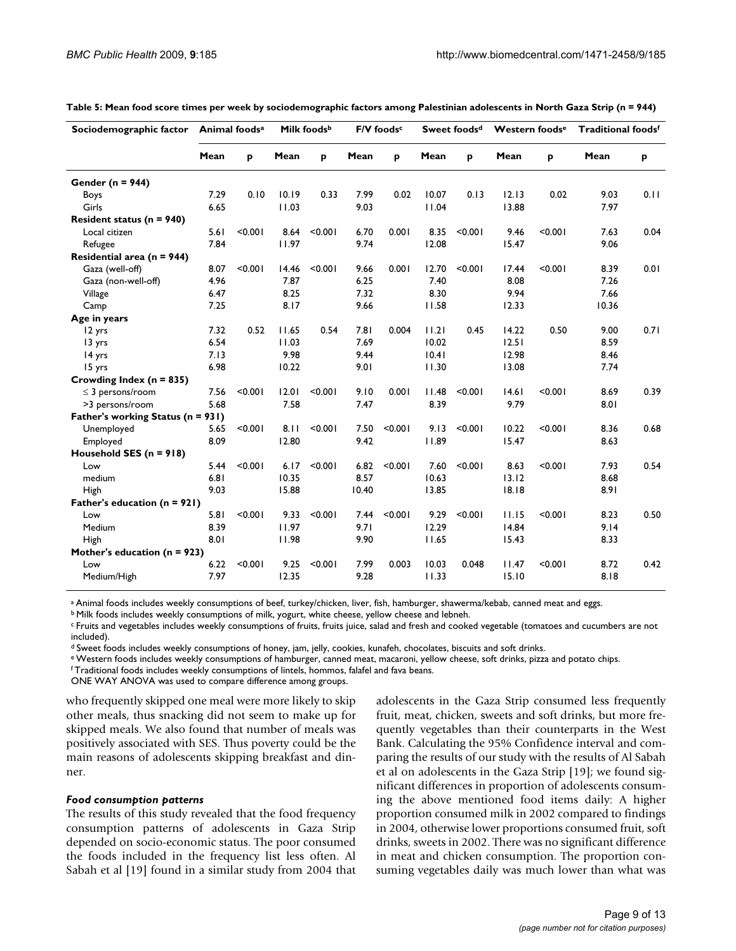| Sociodemographic factor Animal foods <sup>a</sup> |      |         | Milk foodsb |         | F/V foods <sup>c</sup> |         | Sweet foods <sup>d</sup> |         | Western foodse |         | <b>Traditional foodsf</b> |      |
|---------------------------------------------------|------|---------|-------------|---------|------------------------|---------|--------------------------|---------|----------------|---------|---------------------------|------|
|                                                   | Mean | p       | Mean        | p       | Mean                   | p       | Mean                     | p       | Mean           | p       | Mean                      | p    |
| Gender ( $n = 944$ )                              |      |         |             |         |                        |         |                          |         |                |         |                           |      |
| Boys                                              | 7.29 | 0.10    | 10.19       | 0.33    | 7.99                   | 0.02    | 10.07                    | 0.13    | 12.13          | 0.02    | 9.03                      | 0.11 |
| Girls                                             | 6.65 |         | 11.03       |         | 9.03                   |         | 11.04                    |         | 13.88          |         | 7.97                      |      |
| Resident status ( $n = 940$ )                     |      |         |             |         |                        |         |                          |         |                |         |                           |      |
| Local citizen                                     | 5.61 | < 0.001 | 8.64        | < 0.001 | 6.70                   | 0.001   | 8.35                     | < 0.001 | 9.46           | < 0.001 | 7.63                      | 0.04 |
| Refugee                                           | 7.84 |         | 11.97       |         | 9.74                   |         | 12.08                    |         | 15.47          |         | 9.06                      |      |
| Residential area ( $n = 944$ )                    |      |         |             |         |                        |         |                          |         |                |         |                           |      |
| Gaza (well-off)                                   | 8.07 | < 0.001 | 14.46       | < 0.001 | 9.66                   | 0.001   | 12.70                    | < 0.001 | 17.44          | < 0.001 | 8.39                      | 0.01 |
| Gaza (non-well-off)                               | 4.96 |         | 7.87        |         | 6.25                   |         | 7.40                     |         | 8.08           |         | 7.26                      |      |
| Village                                           | 6.47 |         | 8.25        |         | 7.32                   |         | 8.30                     |         | 9.94           |         | 7.66                      |      |
| Camp                                              | 7.25 |         | 8.17        |         | 9.66                   |         | 11.58                    |         | 12.33          |         | 10.36                     |      |
| Age in years                                      |      |         |             |         |                        |         |                          |         |                |         |                           |      |
| 12 yrs                                            | 7.32 | 0.52    | 11.65       | 0.54    | 7.81                   | 0.004   | 11.21                    | 0.45    | 14.22          | 0.50    | 9.00                      | 0.71 |
| 13 yrs                                            | 6.54 |         | 11.03       |         | 7.69                   |         | 10.02                    |         | 12.51          |         | 8.59                      |      |
| 14 yrs                                            | 7.13 |         | 9.98        |         | 9.44                   |         | 10.41                    |         | 12.98          |         | 8.46                      |      |
| 15 yrs                                            | 6.98 |         | 10.22       |         | 9.01                   |         | 11.30                    |         | 13.08          |         | 7.74                      |      |
| Crowding Index ( $n = 835$ )                      |      |         |             |         |                        |         |                          |         |                |         |                           |      |
| $\leq$ 3 persons/room                             | 7.56 | < 0.001 | 12.01       | < 0.001 | 9.10                   | 0.001   | 11.48                    | < 0.001 | 14.61          | < 0.001 | 8.69                      | 0.39 |
| >3 persons/room                                   | 5.68 |         | 7.58        |         | 7.47                   |         | 8.39                     |         | 9.79           |         | 8.01                      |      |
| Father's working Status (n = 931)                 |      |         |             |         |                        |         |                          |         |                |         |                           |      |
| Unemployed                                        | 5.65 | < 0.001 | 8.11        | < 0.001 | 7.50                   | < 0.001 | 9.13                     | < 0.001 | 10.22          | < 0.001 | 8.36                      | 0.68 |
| Employed                                          | 8.09 |         | 12.80       |         | 9.42                   |         | 11.89                    |         | 15.47          |         | 8.63                      |      |
| Household SES $(n = 918)$                         |      |         |             |         |                        |         |                          |         |                |         |                           |      |
| Low                                               | 5.44 | < 0.001 | 6.17        | < 0.001 | 6.82                   | < 0.001 | 7.60                     | < 0.001 | 8.63           | < 0.001 | 7.93                      | 0.54 |
| medium                                            | 6.81 |         | 10.35       |         | 8.57                   |         | 10.63                    |         | 13.12          |         | 8.68                      |      |
| High                                              | 9.03 |         | 15.88       |         | 10.40                  |         | 13.85                    |         | 18.18          |         | 8.91                      |      |
| Father's education ( $n = 921$ )                  |      |         |             |         |                        |         |                          |         |                |         |                           |      |
| Low                                               | 5.81 | < 0.001 | 9.33        | < 0.001 | 7.44                   | < 0.001 | 9.29                     | < 0.001 | 11.15          | < 0.001 | 8.23                      | 0.50 |
| Medium                                            | 8.39 |         | 11.97       |         | 9.71                   |         | 12.29                    |         | 14.84          |         | 9.14                      |      |
| High                                              | 8.01 |         | 11.98       |         | 9.90                   |         | 11.65                    |         | 15.43          |         | 8.33                      |      |
| Mother's education ( $n = 923$ )                  |      |         |             |         |                        |         |                          |         |                |         |                           |      |
| Low                                               | 6.22 | < 0.001 | 9.25        | < 0.001 | 7.99                   | 0.003   | 10.03                    | 0.048   | 11.47          | < 0.001 | 8.72                      | 0.42 |
| Medium/High                                       | 7.97 |         | 12.35       |         | 9.28                   |         | 11.33                    |         | 15.10          |         | 8.18                      |      |

**Table 5: Mean food score times per week by sociodemographic factors among Palestinian adolescents in North Gaza Strip (n = 944)**

a Animal foods includes weekly consumptions of beef, turkey/chicken, liver, fish, hamburger, shawerma/kebab, canned meat and eggs.

b Milk foods includes weekly consumptions of milk, yogurt, white cheese, yellow cheese and lebneh.

c Fruits and vegetables includes weekly consumptions of fruits, fruits juice, salad and fresh and cooked vegetable (tomatoes and cucumbers are not included).

d Sweet foods includes weekly consumptions of honey, jam, jelly, cookies, kunafeh, chocolates, biscuits and soft drinks.

e Western foods includes weekly consumptions of hamburger, canned meat, macaroni, yellow cheese, soft drinks, pizza and potato chips.

f Traditional foods includes weekly consumptions of lintels, hommos, falafel and fava beans.

ONE WAY ANOVA was used to compare difference among groups.

who frequently skipped one meal were more likely to skip other meals, thus snacking did not seem to make up for skipped meals. We also found that number of meals was positively associated with SES. Thus poverty could be the main reasons of adolescents skipping breakfast and dinner.

### *Food consumption patterns*

The results of this study revealed that the food frequency consumption patterns of adolescents in Gaza Strip depended on socio-economic status. The poor consumed the foods included in the frequency list less often. Al Sabah et al [19] found in a similar study from 2004 that

adolescents in the Gaza Strip consumed less frequently fruit, meat, chicken, sweets and soft drinks, but more frequently vegetables than their counterparts in the West Bank. Calculating the 95% Confidence interval and comparing the results of our study with the results of Al Sabah et al on adolescents in the Gaza Strip [19]; we found significant differences in proportion of adolescents consuming the above mentioned food items daily: A higher proportion consumed milk in 2002 compared to findings in 2004, otherwise lower proportions consumed fruit, soft drinks, sweets in 2002. There was no significant difference in meat and chicken consumption. The proportion consuming vegetables daily was much lower than what was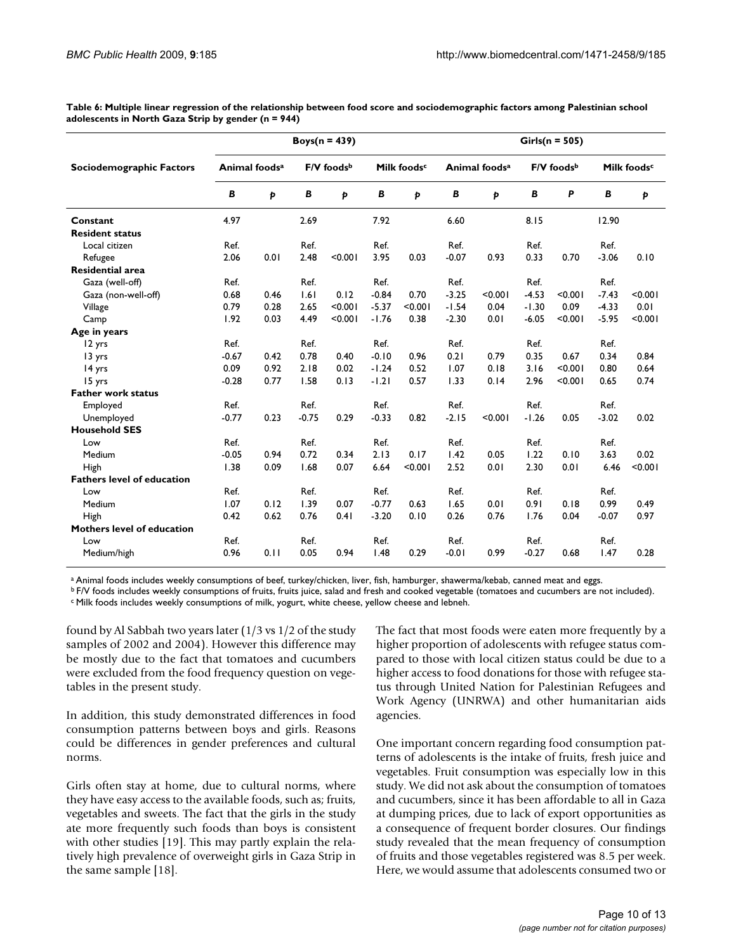|                                   |                           |      |         | Boys( $n = 439$ ) |                         | $Girls(n = 505)$ |                           |         |            |         |                         |         |
|-----------------------------------|---------------------------|------|---------|-------------------|-------------------------|------------------|---------------------------|---------|------------|---------|-------------------------|---------|
| Sociodemographic Factors          | Animal foods <sup>a</sup> |      |         | $F/V$ foodsb      | Milk foods <sup>c</sup> |                  | Animal foods <sup>a</sup> |         | F/V foodsb |         | Milk foods <sup>c</sup> |         |
|                                   | B                         | Þ    | В       | Þ                 | B                       | Þ                | B                         | Þ       | B          | P       | B                       | Þ       |
| Constant                          | 4.97                      |      | 2.69    |                   | 7.92                    |                  | 6.60                      |         | 8.15       |         | 12.90                   |         |
| <b>Resident status</b>            |                           |      |         |                   |                         |                  |                           |         |            |         |                         |         |
| Local citizen                     | Ref.                      |      | Ref.    |                   | Ref.                    |                  | Ref.                      |         | Ref.       |         | Ref.                    |         |
| Refugee                           | 2.06                      | 0.01 | 2.48    | < 0.001           | 3.95                    | 0.03             | $-0.07$                   | 0.93    | 0.33       | 0.70    | $-3.06$                 | 0.10    |
| <b>Residential area</b>           |                           |      |         |                   |                         |                  |                           |         |            |         |                         |         |
| Gaza (well-off)                   | Ref.                      |      | Ref.    |                   | Ref.                    |                  | Ref.                      |         | Ref.       |         | Ref.                    |         |
| Gaza (non-well-off)               | 0.68                      | 0.46 | 1.61    | 0.12              | $-0.84$                 | 0.70             | $-3.25$                   | < 0.001 | $-4.53$    | < 0.001 | $-7.43$                 | < 0.001 |
| Village                           | 0.79                      | 0.28 | 2.65    | < 0.001           | $-5.37$                 | < 0.001          | $-1.54$                   | 0.04    | $-1.30$    | 0.09    | $-4.33$                 | 0.01    |
| Camp                              | 1.92                      | 0.03 | 4.49    | < 0.001           | $-1.76$                 | 0.38             | $-2.30$                   | 0.01    | $-6.05$    | < 0.001 | $-5.95$                 | < 0.001 |
| Age in years                      |                           |      |         |                   |                         |                  |                           |         |            |         |                         |         |
| 12 yrs                            | Ref.                      |      | Ref.    |                   | Ref.                    |                  | Ref.                      |         | Ref.       |         | Ref.                    |         |
| 13 yrs                            | $-0.67$                   | 0.42 | 0.78    | 0.40              | $-0.10$                 | 0.96             | 0.21                      | 0.79    | 0.35       | 0.67    | 0.34                    | 0.84    |
| 14 yrs                            | 0.09                      | 0.92 | 2.18    | 0.02              | $-1.24$                 | 0.52             | 1.07                      | 0.18    | 3.16       | < 0.001 | 0.80                    | 0.64    |
| 15 yrs                            | $-0.28$                   | 0.77 | 1.58    | 0.13              | $-1.21$                 | 0.57             | 1.33                      | 0.14    | 2.96       | < 0.001 | 0.65                    | 0.74    |
| <b>Father work status</b>         |                           |      |         |                   |                         |                  |                           |         |            |         |                         |         |
| Employed                          | Ref.                      |      | Ref.    |                   | Ref.                    |                  | Ref.                      |         | Ref.       |         | Ref.                    |         |
| Unemployed                        | $-0.77$                   | 0.23 | $-0.75$ | 0.29              | $-0.33$                 | 0.82             | $-2.15$                   | < 0.001 | $-1.26$    | 0.05    | $-3.02$                 | 0.02    |
| <b>Household SES</b>              |                           |      |         |                   |                         |                  |                           |         |            |         |                         |         |
| Low                               | Ref.                      |      | Ref.    |                   | Ref.                    |                  | Ref.                      |         | Ref.       |         | Ref.                    |         |
| Medium                            | $-0.05$                   | 0.94 | 0.72    | 0.34              | 2.13                    | 0.17             | 1.42                      | 0.05    | 1.22       | 0.10    | 3.63                    | 0.02    |
| High                              | 1.38                      | 0.09 | 1.68    | 0.07              | 6.64                    | < 0.001          | 2.52                      | 0.01    | 2.30       | 0.01    | 6.46                    | < 0.001 |
| <b>Fathers level of education</b> |                           |      |         |                   |                         |                  |                           |         |            |         |                         |         |
| Low                               | Ref.                      |      | Ref.    |                   | Ref.                    |                  | Ref.                      |         | Ref.       |         | Ref.                    |         |
| Medium                            | 1.07                      | 0.12 | 1.39    | 0.07              | $-0.77$                 | 0.63             | 1.65                      | 0.01    | 0.91       | 0.18    | 0.99                    | 0.49    |
| High                              | 0.42                      | 0.62 | 0.76    | 0.41              | $-3.20$                 | 0.10             | 0.26                      | 0.76    | 1.76       | 0.04    | $-0.07$                 | 0.97    |
| Mothers level of education        |                           |      |         |                   |                         |                  |                           |         |            |         |                         |         |
| Low                               | Ref.                      |      | Ref.    |                   | Ref.                    |                  | Ref.                      |         | Ref.       |         | Ref.                    |         |
| Medium/high                       | 0.96                      | 0.11 | 0.05    | 0.94              | 1.48                    | 0.29             | $-0.01$                   | 0.99    | $-0.27$    | 0.68    | 1.47                    | 0.28    |

**Table 6: Multiple linear regression of the relationship between food score and sociodemographic factors among Palestinian school adolescents in North Gaza Strip by gender (n = 944)**

a Animal foods includes weekly consumptions of beef, turkey/chicken, liver, fish, hamburger, shawerma/kebab, canned meat and eggs.

b F/V foods includes weekly consumptions of fruits, fruits juice, salad and fresh and cooked vegetable (tomatoes and cucumbers are not included). c Milk foods includes weekly consumptions of milk, yogurt, white cheese, yellow cheese and lebneh.

found by Al Sabbah two years later (1/3 vs 1/2 of the study samples of 2002 and 2004). However this difference may be mostly due to the fact that tomatoes and cucumbers were excluded from the food frequency question on vegetables in the present study.

In addition, this study demonstrated differences in food consumption patterns between boys and girls. Reasons could be differences in gender preferences and cultural norms.

Girls often stay at home, due to cultural norms, where they have easy access to the available foods, such as; fruits, vegetables and sweets. The fact that the girls in the study ate more frequently such foods than boys is consistent with other studies [19]. This may partly explain the relatively high prevalence of overweight girls in Gaza Strip in the same sample [18].

The fact that most foods were eaten more frequently by a higher proportion of adolescents with refugee status compared to those with local citizen status could be due to a higher access to food donations for those with refugee status through United Nation for Palestinian Refugees and Work Agency (UNRWA) and other humanitarian aids agencies.

One important concern regarding food consumption patterns of adolescents is the intake of fruits, fresh juice and vegetables. Fruit consumption was especially low in this study. We did not ask about the consumption of tomatoes and cucumbers, since it has been affordable to all in Gaza at dumping prices, due to lack of export opportunities as a consequence of frequent border closures. Our findings study revealed that the mean frequency of consumption of fruits and those vegetables registered was 8.5 per week. Here, we would assume that adolescents consumed two or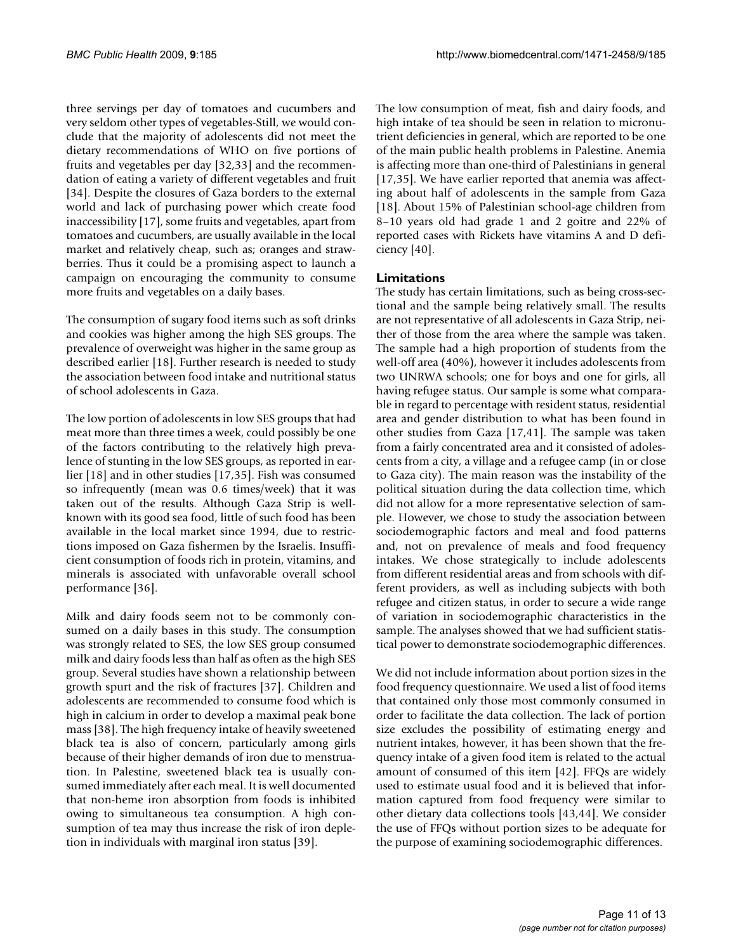three servings per day of tomatoes and cucumbers and very seldom other types of vegetables-Still, we would conclude that the majority of adolescents did not meet the dietary recommendations of WHO on five portions of fruits and vegetables per day [32,33] and the recommendation of eating a variety of different vegetables and fruit [34]. Despite the closures of Gaza borders to the external world and lack of purchasing power which create food inaccessibility [17], some fruits and vegetables, apart from tomatoes and cucumbers, are usually available in the local market and relatively cheap, such as; oranges and strawberries. Thus it could be a promising aspect to launch a campaign on encouraging the community to consume more fruits and vegetables on a daily bases.

The consumption of sugary food items such as soft drinks and cookies was higher among the high SES groups. The prevalence of overweight was higher in the same group as described earlier [18]. Further research is needed to study the association between food intake and nutritional status of school adolescents in Gaza.

The low portion of adolescents in low SES groups that had meat more than three times a week, could possibly be one of the factors contributing to the relatively high prevalence of stunting in the low SES groups, as reported in earlier [18] and in other studies [17,35]. Fish was consumed so infrequently (mean was 0.6 times/week) that it was taken out of the results. Although Gaza Strip is wellknown with its good sea food, little of such food has been available in the local market since 1994, due to restrictions imposed on Gaza fishermen by the Israelis. Insufficient consumption of foods rich in protein, vitamins, and minerals is associated with unfavorable overall school performance [36].

Milk and dairy foods seem not to be commonly consumed on a daily bases in this study. The consumption was strongly related to SES, the low SES group consumed milk and dairy foods less than half as often as the high SES group. Several studies have shown a relationship between growth spurt and the risk of fractures [37]. Children and adolescents are recommended to consume food which is high in calcium in order to develop a maximal peak bone mass [38]. The high frequency intake of heavily sweetened black tea is also of concern, particularly among girls because of their higher demands of iron due to menstruation. In Palestine, sweetened black tea is usually consumed immediately after each meal. It is well documented that non-heme iron absorption from foods is inhibited owing to simultaneous tea consumption. A high consumption of tea may thus increase the risk of iron depletion in individuals with marginal iron status [39].

The low consumption of meat, fish and dairy foods, and high intake of tea should be seen in relation to micronutrient deficiencies in general, which are reported to be one of the main public health problems in Palestine. Anemia is affecting more than one-third of Palestinians in general [17,35]. We have earlier reported that anemia was affecting about half of adolescents in the sample from Gaza [18]. About 15% of Palestinian school-age children from 8–10 years old had grade 1 and 2 goitre and 22% of reported cases with Rickets have vitamins A and D deficiency [40].

### **Limitations**

The study has certain limitations, such as being cross-sectional and the sample being relatively small. The results are not representative of all adolescents in Gaza Strip, neither of those from the area where the sample was taken. The sample had a high proportion of students from the well-off area (40%), however it includes adolescents from two UNRWA schools; one for boys and one for girls, all having refugee status. Our sample is some what comparable in regard to percentage with resident status, residential area and gender distribution to what has been found in other studies from Gaza [17,41]. The sample was taken from a fairly concentrated area and it consisted of adolescents from a city, a village and a refugee camp (in or close to Gaza city). The main reason was the instability of the political situation during the data collection time, which did not allow for a more representative selection of sample. However, we chose to study the association between sociodemographic factors and meal and food patterns and, not on prevalence of meals and food frequency intakes. We chose strategically to include adolescents from different residential areas and from schools with different providers, as well as including subjects with both refugee and citizen status, in order to secure a wide range of variation in sociodemographic characteristics in the sample. The analyses showed that we had sufficient statistical power to demonstrate sociodemographic differences.

We did not include information about portion sizes in the food frequency questionnaire. We used a list of food items that contained only those most commonly consumed in order to facilitate the data collection. The lack of portion size excludes the possibility of estimating energy and nutrient intakes, however, it has been shown that the frequency intake of a given food item is related to the actual amount of consumed of this item [42]. FFQs are widely used to estimate usual food and it is believed that information captured from food frequency were similar to other dietary data collections tools [43,44]. We consider the use of FFQs without portion sizes to be adequate for the purpose of examining sociodemographic differences.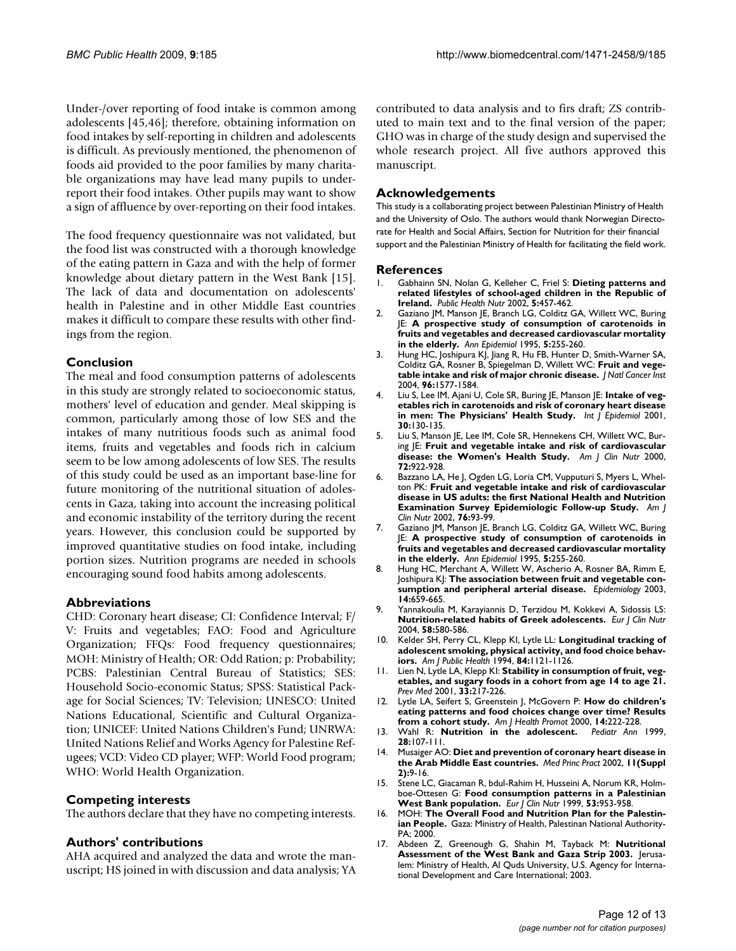Under-/over reporting of food intake is common among adolescents [45,46]; therefore, obtaining information on food intakes by self-reporting in children and adolescents is difficult. As previously mentioned, the phenomenon of foods aid provided to the poor families by many charitable organizations may have lead many pupils to underreport their food intakes. Other pupils may want to show a sign of affluence by over-reporting on their food intakes.

The food frequency questionnaire was not validated, but the food list was constructed with a thorough knowledge of the eating pattern in Gaza and with the help of former knowledge about dietary pattern in the West Bank [15]. The lack of data and documentation on adolescents' health in Palestine and in other Middle East countries makes it difficult to compare these results with other findings from the region.

### **Conclusion**

The meal and food consumption patterns of adolescents in this study are strongly related to socioeconomic status, mothers' level of education and gender. Meal skipping is common, particularly among those of low SES and the intakes of many nutritious foods such as animal food items, fruits and vegetables and foods rich in calcium seem to be low among adolescents of low SES. The results of this study could be used as an important base-line for future monitoring of the nutritional situation of adolescents in Gaza, taking into account the increasing political and economic instability of the territory during the recent years. However, this conclusion could be supported by improved quantitative studies on food intake, including portion sizes. Nutrition programs are needed in schools encouraging sound food habits among adolescents.

### **Abbreviations**

CHD: Coronary heart disease; CI: Confidence Interval; F/ V: Fruits and vegetables; FAO: Food and Agriculture Organization; FFQs: Food frequency questionnaires; MOH: Ministry of Health; OR: Odd Ration; p: Probability; PCBS: Palestinian Central Bureau of Statistics; SES: Household Socio-economic Status; SPSS: Statistical Package for Social Sciences; TV: Television; UNESCO: United Nations Educational, Scientific and Cultural Organization; UNICEF: United Nations Children's Fund; UNRWA: United Nations Relief and Works Agency for Palestine Refugees; VCD: Video CD player; WFP: World Food program; WHO: World Health Organization.

### **Competing interests**

The authors declare that they have no competing interests.

### **Authors' contributions**

AHA acquired and analyzed the data and wrote the manuscript; HS joined in with discussion and data analysis; YA contributed to data analysis and to firs draft; ZS contributed to main text and to the final version of the paper; GHO was in charge of the study design and supervised the whole research project. All five authors approved this manuscript.

### **Acknowledgements**

This study is a collaborating project between Palestinian Ministry of Health and the University of Oslo. The authors would thank Norwegian Directorate for Health and Social Affairs, Section for Nutrition for their financial support and the Palestinian Ministry of Health for facilitating the field work.

### **References**

- 1. Gabhainn SN, Nolan G, Kelleher C, Friel S: **[Dieting patterns and](http://www.ncbi.nlm.nih.gov/entrez/query.fcgi?cmd=Retrieve&db=PubMed&dopt=Abstract&list_uids=12003658) [related lifestyles of school-aged children in the Republic of](http://www.ncbi.nlm.nih.gov/entrez/query.fcgi?cmd=Retrieve&db=PubMed&dopt=Abstract&list_uids=12003658) [Ireland.](http://www.ncbi.nlm.nih.gov/entrez/query.fcgi?cmd=Retrieve&db=PubMed&dopt=Abstract&list_uids=12003658)** *Public Health Nutr* 2002, **5:**457-462.
- 2. Gaziano JM, Manson JE, Branch LG, Colditz GA, Willett WC, Buring JE: **[A prospective study of consumption of carotenoids in](http://www.ncbi.nlm.nih.gov/entrez/query.fcgi?cmd=Retrieve&db=PubMed&dopt=Abstract&list_uids=8520706) [fruits and vegetables and decreased cardiovascular mortality](http://www.ncbi.nlm.nih.gov/entrez/query.fcgi?cmd=Retrieve&db=PubMed&dopt=Abstract&list_uids=8520706) [in the elderly.](http://www.ncbi.nlm.nih.gov/entrez/query.fcgi?cmd=Retrieve&db=PubMed&dopt=Abstract&list_uids=8520706)** *Ann Epidemiol* 1995, **5:**255-260.
- 3. Hung HC, Joshipura KJ, Jiang R, Hu FB, Hunter D, Smith-Warner SA, Colditz GA, Rosner B, Spiegelman D, Willett WC: **[Fruit and vege](http://www.ncbi.nlm.nih.gov/entrez/query.fcgi?cmd=Retrieve&db=PubMed&dopt=Abstract&list_uids=15523086)[table intake and risk of major chronic disease.](http://www.ncbi.nlm.nih.gov/entrez/query.fcgi?cmd=Retrieve&db=PubMed&dopt=Abstract&list_uids=15523086)** *J Natl Cancer Inst* 2004, **96:**1577-1584.
- 4. Liu S, Lee IM, Ajani U, Cole SR, Buring JE, Manson JE: **[Intake of veg](http://www.ncbi.nlm.nih.gov/entrez/query.fcgi?cmd=Retrieve&db=PubMed&dopt=Abstract&list_uids=11171873)[etables rich in carotenoids and risk of coronary heart disease](http://www.ncbi.nlm.nih.gov/entrez/query.fcgi?cmd=Retrieve&db=PubMed&dopt=Abstract&list_uids=11171873) [in men: The Physicians' Health Study.](http://www.ncbi.nlm.nih.gov/entrez/query.fcgi?cmd=Retrieve&db=PubMed&dopt=Abstract&list_uids=11171873)** *Int J Epidemiol* 2001, **30:**130-135.
- Liu S, Manson JE, Lee IM, Cole SR, Hennekens CH, Willett WC, Buring JE: **[Fruit and vegetable intake and risk of cardiovascular](http://www.ncbi.nlm.nih.gov/entrez/query.fcgi?cmd=Retrieve&db=PubMed&dopt=Abstract&list_uids=11010932) [disease: the Women's Health Study.](http://www.ncbi.nlm.nih.gov/entrez/query.fcgi?cmd=Retrieve&db=PubMed&dopt=Abstract&list_uids=11010932)** *Am J Clin Nutr* 2000, **72:**922-928.
- 6. Bazzano LA, He J, Ogden LG, Loria CM, Vupputuri S, Myers L, Whelton PK: **[Fruit and vegetable intake and risk of cardiovascular](http://www.ncbi.nlm.nih.gov/entrez/query.fcgi?cmd=Retrieve&db=PubMed&dopt=Abstract&list_uids=12081821) [disease in US adults: the first National Health and Nutrition](http://www.ncbi.nlm.nih.gov/entrez/query.fcgi?cmd=Retrieve&db=PubMed&dopt=Abstract&list_uids=12081821) [Examination Survey Epidemiologic Follow-up Study.](http://www.ncbi.nlm.nih.gov/entrez/query.fcgi?cmd=Retrieve&db=PubMed&dopt=Abstract&list_uids=12081821)** *Am J Clin Nutr* 2002, **76:**93-99.
- 7. Gaziano JM, Manson JE, Branch LG, Colditz GA, Willett WC, Buring JE: **[A prospective study of consumption of carotenoids in](http://www.ncbi.nlm.nih.gov/entrez/query.fcgi?cmd=Retrieve&db=PubMed&dopt=Abstract&list_uids=8520706) [fruits and vegetables and decreased cardiovascular mortality](http://www.ncbi.nlm.nih.gov/entrez/query.fcgi?cmd=Retrieve&db=PubMed&dopt=Abstract&list_uids=8520706) [in the elderly.](http://www.ncbi.nlm.nih.gov/entrez/query.fcgi?cmd=Retrieve&db=PubMed&dopt=Abstract&list_uids=8520706)** *Ann Epidemiol* 1995, **5:**255-260.
- 8. Hung HC, Merchant A, Willett W, Ascherio A, Rosner BA, Rimm E, Joshipura KJ: **[The association between fruit and vegetable con](http://www.ncbi.nlm.nih.gov/entrez/query.fcgi?cmd=Retrieve&db=PubMed&dopt=Abstract&list_uids=14569180)[sumption and peripheral arterial disease.](http://www.ncbi.nlm.nih.gov/entrez/query.fcgi?cmd=Retrieve&db=PubMed&dopt=Abstract&list_uids=14569180)** *Epidemiology* 2003, **14:**659-665.
- 9. Yannakoulia M, Karayiannis D, Terzidou M, Kokkevi A, Sidossis LS: **[Nutrition-related habits of Greek adolescents.](http://www.ncbi.nlm.nih.gov/entrez/query.fcgi?cmd=Retrieve&db=PubMed&dopt=Abstract&list_uids=15042125)** *Eur J Clin Nutr* 2004, **58:**580-586.
- 10. Kelder SH, Perry CL, Klepp KI, Lytle LL: **[Longitudinal tracking of](http://www.ncbi.nlm.nih.gov/entrez/query.fcgi?cmd=Retrieve&db=PubMed&dopt=Abstract&list_uids=8017536) [adolescent smoking, physical activity, and food choice behav](http://www.ncbi.nlm.nih.gov/entrez/query.fcgi?cmd=Retrieve&db=PubMed&dopt=Abstract&list_uids=8017536)[iors.](http://www.ncbi.nlm.nih.gov/entrez/query.fcgi?cmd=Retrieve&db=PubMed&dopt=Abstract&list_uids=8017536)** *Am J Public Health* 1994, **84:**1121-1126.
- 11. Lien N, Lytle LA, Klepp KI: **[Stability in consumption of fruit, veg](http://www.ncbi.nlm.nih.gov/entrez/query.fcgi?cmd=Retrieve&db=PubMed&dopt=Abstract&list_uids=11522162)[etables, and sugary foods in a cohort from age 14 to age 21.](http://www.ncbi.nlm.nih.gov/entrez/query.fcgi?cmd=Retrieve&db=PubMed&dopt=Abstract&list_uids=11522162)** *Prev Med* 2001, **33:**217-226.
- 12. Lytle LA, Seifert S, Greenstein J, McGovern P: **[How do children's](http://www.ncbi.nlm.nih.gov/entrez/query.fcgi?cmd=Retrieve&db=PubMed&dopt=Abstract&list_uids=10915532) [eating patterns and food choices change over time? Results](http://www.ncbi.nlm.nih.gov/entrez/query.fcgi?cmd=Retrieve&db=PubMed&dopt=Abstract&list_uids=10915532) [from a cohort study.](http://www.ncbi.nlm.nih.gov/entrez/query.fcgi?cmd=Retrieve&db=PubMed&dopt=Abstract&list_uids=10915532)** *Am J Health Promot* 2000, **14:**222-228.
- 13. Wahl R: **[Nutrition in the adolescent.](http://www.ncbi.nlm.nih.gov/entrez/query.fcgi?cmd=Retrieve&db=PubMed&dopt=Abstract&list_uids=10036686)** *Pediatr Ann* 1999, **28:**107-111.
- 14. Musaiger AO: **[Diet and prevention of coronary heart disease in](http://www.ncbi.nlm.nih.gov/entrez/query.fcgi?cmd=Retrieve&db=PubMed&dopt=Abstract&list_uids=12444306) [the Arab Middle East countries.](http://www.ncbi.nlm.nih.gov/entrez/query.fcgi?cmd=Retrieve&db=PubMed&dopt=Abstract&list_uids=12444306)** *Med Princ Pract* 2002, **11(Suppl 2):**9-16.
- 15. Stene LC, Giacaman R, bdul-Rahim H, Husseini A, Norum KR, Holmboe-Ottesen G: **[Food consumption patterns in a Palestinian](http://www.ncbi.nlm.nih.gov/entrez/query.fcgi?cmd=Retrieve&db=PubMed&dopt=Abstract&list_uids=10602353) [West Bank population.](http://www.ncbi.nlm.nih.gov/entrez/query.fcgi?cmd=Retrieve&db=PubMed&dopt=Abstract&list_uids=10602353)** *Eur J Clin Nutr* 1999, **53:**953-958.
- 16. MOH: **The Overall Food and Nutrition Plan for the Palestinian People.** Gaza: Ministry of Health, Palestinan National Authority-PA; 2000.
- 17. Abdeen Z, Greenough G, Shahin M, Tayback M: **Nutritional Assessment of the West Bank and Gaza Strip 2003.** Jerusalem: Ministry of Health, Al Quds University, U.S. Agency for International Development and Care International; 2003.